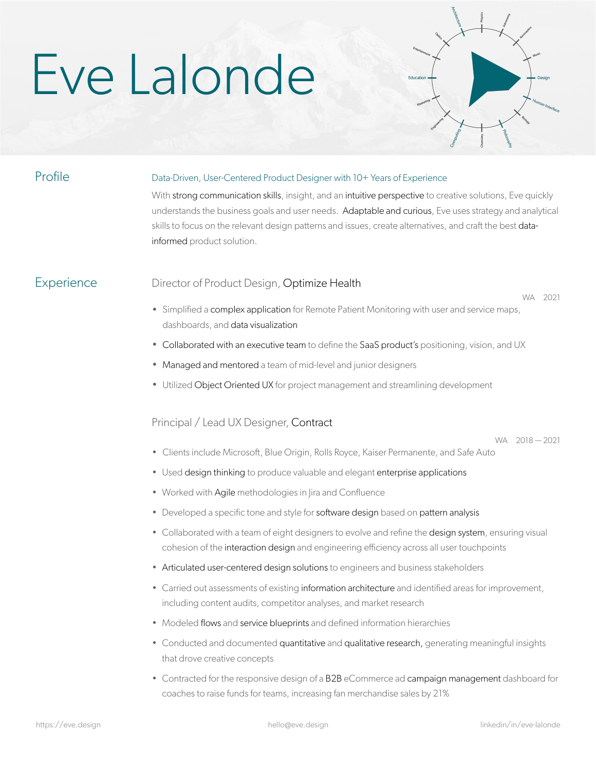# Eve Lalonde



# Profile **Data-Driven, User-Centered Product Designer with 10+ Years of Experience**

With strong communication skills, insight, and an intuitive perspective to creative solutions, Eve quickly understands the business goals and user needs. Adaptable and curious, Eve uses strategy and analytical skills to focus on the relevant design patterns and issues, create alternatives, and craft the best datainformed product solution.

## Experience Director of Product Design, Optimize Health

WA 2021

- Simplified a complex application for Remote Patient Monitoring with user and service maps, dashboards, and data visualization
- Collaborated with an executive team to define the SaaS product's positioning, vision, and UX
- Managed and mentored a team of mid-level and junior designers
- Utilized Object Oriented UX for project management and streamlining development

# Principal / Lead UX Designer, Contract

WA 2018 — 2021

- Clients include Microsoft, Blue Origin, Rolls Royce, Kaiser Permanente, and Safe Auto
- Used design thinking to produce valuable and elegant enterprise applications
- Worked with Agile methodologies in Jira and Confluence
- Developed a specific tone and style for software design based on pattern analysis
- Collaborated with a team of eight designers to evolve and refine the design system, ensuring visual cohesion of the interaction design and engineering efficiency across all user touchpoints
- Articulated user-centered design solutions to engineers and business stakeholders
- Carried out assessments of existing information architecture and identified areas for improvement, including content audits, competitor analyses, and market research
- Modeled flows and service blueprints and defined information hierarchies
- Conducted and documented quantitative and qualitative research, generating meaningful insights that drove creative concepts
- Contracted for the responsive design of a B2B eCommerce ad campaign management dashboard for coaches to raise funds for teams, increasing fan merchandise sales by 21%